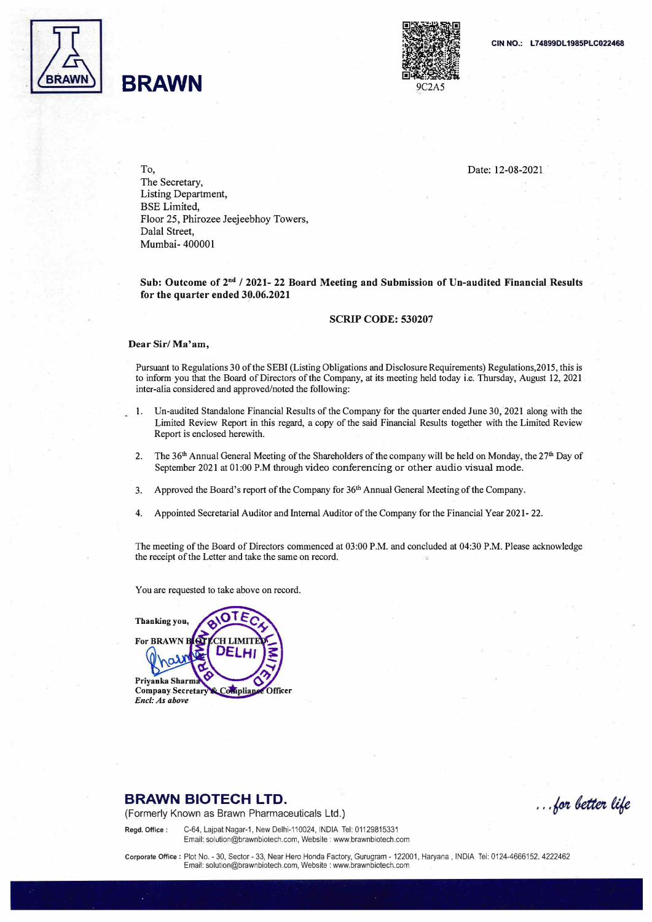

## **BRAWN**



Date: 12-08-2021

To, The Secretary, Listing Department, BSE Limited, Floor 25, Phirozee Jeejeebhoy Towers, Dalal Street, Mumbai- 400001

Sub: Outcome of 2<sup>nd</sup> / 2021- 22 Board Meeting and Submission of Un-audited Financial Results **for the quarter ended 39.06.2021** 

#### **SCRIP CODE: 530207**

#### **Dear Sir/ Ma'am,**

Pursuant to Regulations 30 of the SEBI (Listing Obligations and Disclosure Requirements) Regulations,2015, this is to inform you that the Board of Directors of the Company, at its meeting held today i.e. Thursday, August 12, 2021 . inter-alia considered and approved/noted the following:

- 1. Un-audited Standalone Financial Results of the Company for the quarter ended June 30, 2021 along with the Limited Review Report in this regard, a copy of the said Financial Results together with the Limited Review Report is enclosed herewith.
- 2. The 36<sup>th</sup> Annual General Meeting of the Shareholders of the company will be held on Monday, the 27<sup>th</sup> Day of September 2021 at 01:00 P.M through video conferencing or other audio visual mode.
- 3. Approved the Board's report of the Company for 36<sup>th</sup> Annual General Meeting of the Company.
- 4. Appointed Secretarial Auditor and Internal Auditor of the Company for the Financial Year 2021- 22.

The meeting of the Board of Directors commenced at 03:00 P.M. and concluded at 04:30 P.M. Please acknowledge the receipt of the Letter and take the same on record.

You are requested to take above on record.

**Thanking you,** 

**For BRAWN** 

Priyanka Sharma **Company Secretary** *Encl: As above*  **Compliance Officer** 

**CHIMI** 

### **BRAWN BIOTECH LTD.**

(Formerly Known as Brawn Pharmaceuticals Ltd.)

... for better life

**Regd. Office:** C-64, Lajpat Nagar-1, New Delhi-110024, INDIA Tel: 01129815331 Email: solution@brawnbiotech.com, Website : www.brawnbiotech.com

**Corporate Office:** Plot No. - 30, Sector - 33, Near Hero Honda Factory, Gurugram - 122001, Haryana , INDIA Tel: 0124-4666152. 4222462 Email: solution@brawnbiotech.com, Website : www.brawnbiotech.com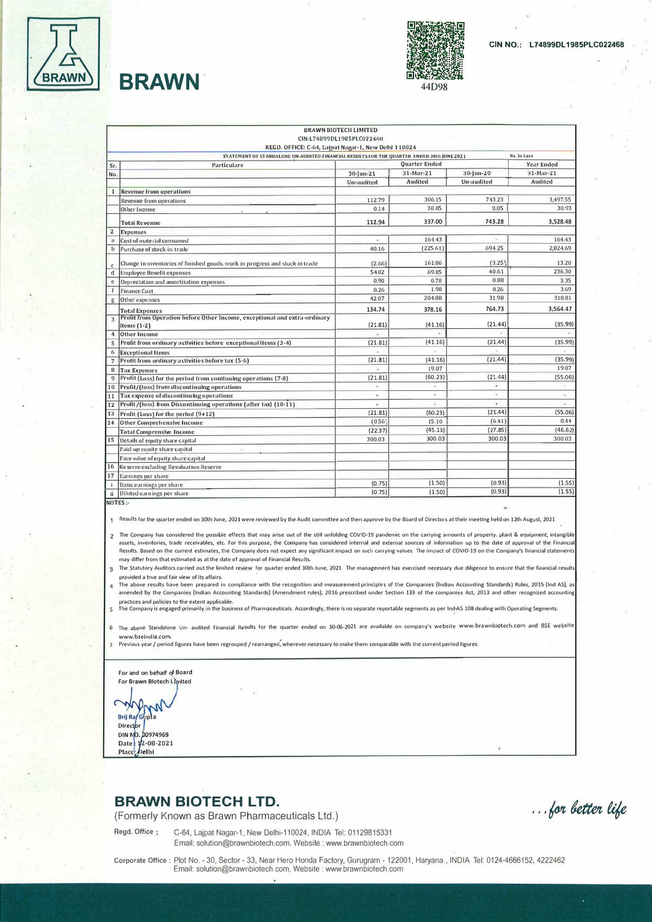

# **BRAWN**



| <b>BRAWN BIOTECH LIMITED</b> |                                                                                                          |                           |                |                   |                |
|------------------------------|----------------------------------------------------------------------------------------------------------|---------------------------|----------------|-------------------|----------------|
|                              |                                                                                                          | CIN:L74899DL1985PLC022468 |                |                   |                |
|                              | REGD. OFFICE: C-64, Lajpat Nagar-1, New Delhl 110024                                                     |                           |                |                   |                |
|                              | STATEMENT OF STANDALONE UN-AUDITED FINANCIAL RESULTS FOR THE QUARTER ENDED 30th JUNE 2021<br>Rs. In Lacs |                           |                |                   |                |
| Sr.                          | <b>Particulars</b>                                                                                       | Quarter Ended             |                |                   | Year Ended     |
| No.                          |                                                                                                          | 30-Jun-21                 | 31-Mar-21      | 30-Jun-20         | 31-Mar-21      |
|                              |                                                                                                          | <b>Un-audited</b>         | <b>Audited</b> | <b>Un-audited</b> | <b>Audited</b> |
| $\mathbf{1}$                 | <b>Revenue from operations</b>                                                                           |                           |                |                   |                |
|                              | <b>Revenue from operations</b>                                                                           | 112.79                    | 306.15         | 743.23            | 3,497.55       |
|                              | Other Income                                                                                             | 0.14                      | 30.85          | 0.05              | 30.93          |
|                              | <b>Totai Revenue</b>                                                                                     | 112.94                    | 337.00         | 743.28            | 3,528.48       |
| $\overline{2}$               | <b>Expenses</b>                                                                                          |                           |                |                   |                |
| $\mathbf{a}$                 | Cost of material consumed                                                                                |                           | 164.43         |                   | 164.43         |
| $\mathbf{b}$                 | Purchase of stock-in-trade                                                                               | 40.16                     | (225.61)       | 694.25            | 2.824.69       |
| c.                           | Change in inventories of finished goods, work in progress and stock in trade                             | (2.66)                    | 161.86         | (3.25)            | 13.20          |
| d                            | <b>Employee Benefit expenses</b>                                                                         | 54.02                     | 69.85          | 40.61             | 236.30         |
| e                            | Depreciation and amortisation expenses                                                                   | 0.90                      | 0.78           | 0.88              | 3.35           |
| f                            | <b>Finance Cost</b>                                                                                      | 0.26                      | 1.98           | 0.26              | 3.69           |
| g                            | Other expenses                                                                                           | 42.07                     | 204.88         | 31.98             | 318.81         |
|                              | <b>Total Expenses</b>                                                                                    | 134.74                    | 378.16         | 764.73            | 3,564.47       |
| 3                            | Profit from Operation before Other Income, exceptional and extra-ordinary<br>ltems (1-2)                 | (21.81)                   | (41.16)        | (21.44)           | (35.99)        |
| 4                            | <b>Other Income</b>                                                                                      |                           |                |                   |                |
| 5                            | Profit from ordinary activities before exceptional items (3-4)                                           | (21.81)                   | (41.16)        | (21.44)           | (35.99)        |
| 6                            | <b>Exceptional Items</b>                                                                                 |                           |                |                   |                |
| $\overline{7}$               | Profit from ordinary activities before tax (5-6)                                                         | (21.81)                   | (41.16)        | (21.44)           | (35.99)        |
| 8                            | <b>Tax Expenses</b>                                                                                      |                           | 19.07          |                   | 19.07          |
| 9                            | Profit (Loss) for the period from continuing operations (7-8)                                            | (21.81)                   | (60.23)        | (21.44)           | (55.06)        |
| 10                           | Profit/(loss) from discontinuing operations                                                              | s.                        | н              | ٠                 | B.             |
| 11                           | Tax expense of discontinuing operations                                                                  | ٠                         | ×              | ×                 | $\omega$       |
| 12                           | Profit/(loss) from Discontinuing operations (after tax) (10-11)                                          | u,                        |                | ÷                 |                |
| 13                           | Profit (Loss) for the period (9+12)                                                                      | (21.81)                   | (60.23)        | (21.44)           | (55.06)        |
| 14                           | Other Comprehensive Income                                                                               | (0.56)                    | 15.10          | (6.41)            | 8.44           |
|                              | <b>Total Comprensive Income</b>                                                                          | (22.37)                   | (45.13)        | (27.85)           | (46.62)        |
| 15                           | Details of equity share capital                                                                          | 300.03                    | 300.03         | 300.03            | 300.03         |
|                              | Paid-up equity share capital                                                                             |                           |                |                   |                |
|                              | Face value of equity share capital                                                                       |                           |                |                   |                |
| 16                           | <b>Reserve excluding Revaluation Reserve</b>                                                             |                           |                |                   |                |
| $\overline{17}$              | Earnings per share                                                                                       |                           |                |                   |                |
|                              | <b>Basic earnings per share</b>                                                                          | (0.75)                    | (1.50)         | (0.93)            | (1.55)         |
| ii                           | Diluted earnings per share                                                                               | (0.75)                    | (1.50)         | (0.93)            | (1.55)         |

NOTES .

1 Results for the quarter ended on 30th June, 2021 were reviewed by the Audit committee and then approve by the Board of Directors at their meeting held on 12th August, 2021.

2 The Company has considered the possible effects that may arise out of the still unfolding COVID-19 pandemic on the carrying amounts of property. plant & equipment, intangible assets, inventories, trade receivables, etc. For this purpose, the Company has considered internal and external sources of information up to the date of approval of the Financial<br>Results. Based on the current estimates, th may differ from that estimated as at the date of approval of Financial Results.

3 The Statutory Auditors carried out the limited review for quarter ended 30th June, 2021. The management has exercised necessary due diligence to ensure that the financial result provided a true and fair view of its affairs.

4 The above results have been prepared in compliance with the recognition and measurement principles of the Companies (Indian Accounting Standards) Rules, 2015 (Ind AS), as amended by the Companies (Indian Accounting Standards) (Amendment rules), 2016 prescribed under Section 133 of the companies Act, 2013 and other recognized acc

practices and policies to the extent applicable.<br>The Company is engaged primarily in the business of Pharmaceuticals. Accordingly, there is no separate reportable segments as per Ind-AS 108 dealing with Operating Segr  $\overline{\mathsf{S}}$ 

6 The above Standalone Un- audited Financial Results for the quarter ended on 30-06-2021 are available on company's website www.brawnbiotech.com and BSE website www.bseindia.com.

7 Previous year / period figures have been regrouped / rearranged, wherever necessary to make them comparable with the current period figures.

For and on behalf of Board For Brawn Blotech Limited ₩ W Brij Ra/Gupta Director **DIN NO. 00974969** Date: 12-08-2021 belhi Place:

## **BRAWN BIOTECH LTD.**

(Formerly Known as Brawn Pharmaceuticals Ltd.)

Regd. Office: C-64, Lajpat Nagar-1, New Delhi-110024, INDIA Tel: 01129815331 Email: solution@brawnbiotech.com, Website : www.brawnbiotech.com

... for better life

Corporate Office : Plot No. - 30, Sector - 33, Near Hero Honda Factory, Gurugram - 122001, Haryana, INDIA Tel: 0124-4666152, 4222462 Email: solution@brawnbiotech.com, Website : www.brawnbiotech.com